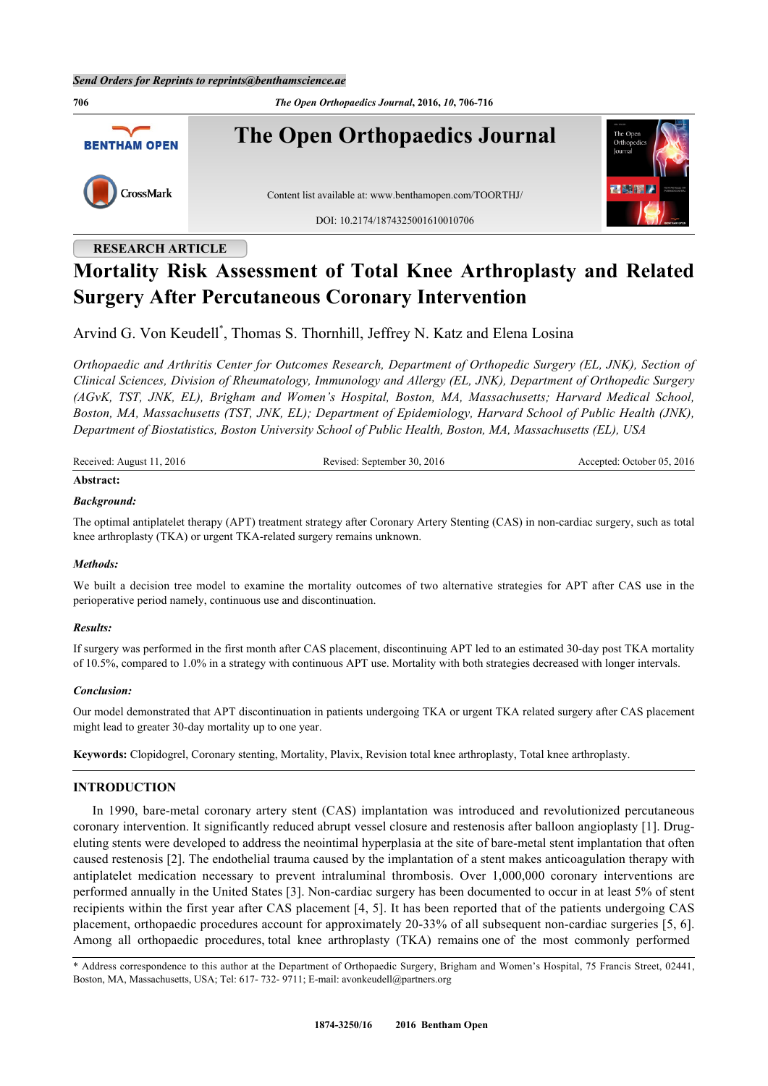**706** *The Open Orthopaedics Journal***, 2016,** *10***, 706-716 The Open Orthopaedics Journal BENTHAM OPEN** CrossMark Content list available at: [www.benthamopen.com/TOORTHJ/](http://www.benthamopen.com/TOORTHJ/) DOI: [10.2174/1874325001610010706](http://dx.doi.org/10.2174/1874325001610010706)

# **RESEARCH ARTICLE**

# **Mortality Risk Assessment of Total Knee Arthroplasty and Related Surgery After Percutaneous Coronary Intervention**

Arvind G. Von Keudell[\\*](#page-0-0) , Thomas S. Thornhill, Jeffrey N. Katz and Elena Losina

*Orthopaedic and Arthritis Center for Outcomes Research, Department of Orthopedic Surgery (EL, JNK), Section of Clinical Sciences, Division of Rheumatology, Immunology and Allergy (EL, JNK), Department of Orthopedic Surgery (AGvK, TST, JNK, EL), Brigham and Women's Hospital, Boston, MA, Massachusetts; Harvard Medical School, Boston, MA, Massachusetts (TST, JNK, EL); Department of Epidemiology, Harvard School of Public Health (JNK), Department of Biostatistics, Boston University School of Public Health, Boston, MA, Massachusetts (EL), USA*

| Received: August 11, 2016 | Revised: September 30, 2016 | Accepted: October 05, 2016 |
|---------------------------|-----------------------------|----------------------------|
| Abstract:                 |                             |                            |

# *Background:*

The optimal antiplatelet therapy (APT) treatment strategy after Coronary Artery Stenting (CAS) in non-cardiac surgery, such as total knee arthroplasty (TKA) or urgent TKA-related surgery remains unknown.

#### *Methods:*

We built a decision tree model to examine the mortality outcomes of two alternative strategies for APT after CAS use in the perioperative period namely, continuous use and discontinuation.

#### *Results:*

If surgery was performed in the first month after CAS placement, discontinuing APT led to an estimated 30-day post TKA mortality of 10.5%, compared to 1.0% in a strategy with continuous APT use. Mortality with both strategies decreased with longer intervals.

#### *Conclusion:*

Our model demonstrated that APT discontinuation in patients undergoing TKA or urgent TKA related surgery after CAS placement might lead to greater 30-day mortality up to one year.

**Keywords:** Clopidogrel, Coronary stenting, Mortality, Plavix, Revision total knee arthroplasty, Total knee arthroplasty.

## **INTRODUCTION**

In 1990, bare-metal coronary artery stent (CAS) implantation was introduced and revolutionized percutaneous coronary intervention. It significantly reduced abrupt vessel closure and restenosis after balloon angioplasty [[1\]](#page-7-0). Drugeluting stents were developed to address the neointimal hyperplasia at the site of bare-metal stent implantation that often caused restenosis [[2\]](#page-7-1). The endothelial trauma caused by the implantation of a stent makes anticoagulation therapy with antiplatelet medication necessary to prevent intraluminal thrombosis. Over 1,000,000 coronary interventions are performed annually in the United States [\[3](#page-7-2)]. Non-cardiac surgery has been documented to occur in at least 5% of stent recipients within the first year after CAS placement [[4](#page-7-3), [5\]](#page-7-4). It has been reported that of the patients undergoing CAS placement, orthopaedic procedures account for approximately 20-33% of all subsequent non-cardiac surgeries [[5](#page-7-4), [6\]](#page-7-5). Among all orthopaedic procedures, total knee arthroplasty (TKA) remains one of the most commonly performed

<span id="page-0-0"></span><sup>\*</sup> Address correspondence to this author at the Department of Orthopaedic Surgery, Brigham and Women's Hospital, 75 Francis Street, 02441, Boston, MA, Massachusetts, USA; Tel: 617- 732- 9711; E-mail: [avonkeudell@partners.org](mailto:avonkeudell@partners.org)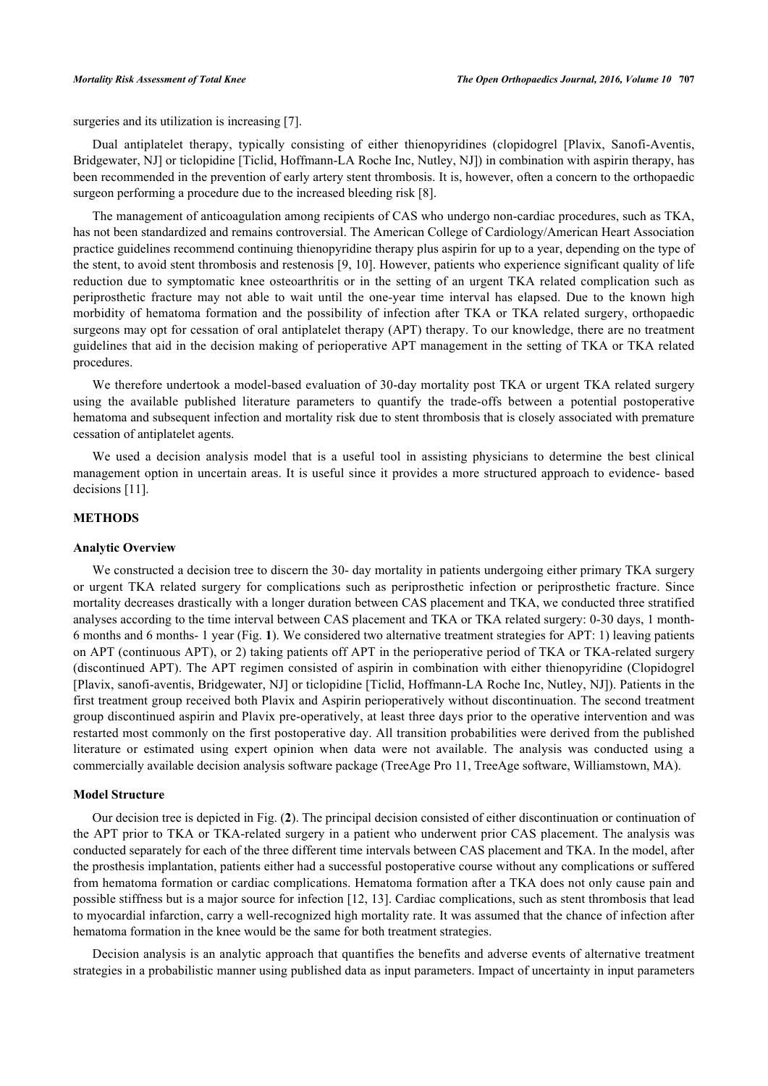surgeries and its utilization is increasing [\[7](#page-8-0)].

Dual antiplatelet therapy, typically consisting of either thienopyridines (clopidogrel [Plavix, Sanofi-Aventis, Bridgewater, NJ] or ticlopidine [Ticlid, Hoffmann-LA Roche Inc, Nutley, NJ]) in combination with aspirin therapy, has been recommended in the prevention of early artery stent thrombosis. It is, however, often a concern to the orthopaedic surgeon performing a procedure due to the increased bleeding risk [[8\]](#page-8-1).

The management of anticoagulation among recipients of CAS who undergo non-cardiac procedures, such as TKA, has not been standardized and remains controversial. The American College of Cardiology/American Heart Association practice guidelines recommend continuing thienopyridine therapy plus aspirin for up to a year, depending on the type of the stent, to avoid stent thrombosis and restenosis [[9](#page-8-2), [10\]](#page-8-3). However, patients who experience significant quality of life reduction due to symptomatic knee osteoarthritis or in the setting of an urgent TKA related complication such as periprosthetic fracture may not able to wait until the one-year time interval has elapsed. Due to the known high morbidity of hematoma formation and the possibility of infection after TKA or TKA related surgery, orthopaedic surgeons may opt for cessation of oral antiplatelet therapy (APT) therapy. To our knowledge, there are no treatment guidelines that aid in the decision making of perioperative APT management in the setting of TKA or TKA related procedures.

We therefore undertook a model-based evaluation of 30-day mortality post TKA or urgent TKA related surgery using the available published literature parameters to quantify the trade-offs between a potential postoperative hematoma and subsequent infection and mortality risk due to stent thrombosis that is closely associated with premature cessation of antiplatelet agents.

We used a decision analysis model that is a useful tool in assisting physicians to determine the best clinical management option in uncertain areas. It is useful since it provides a more structured approach to evidence- based decisions [[11\]](#page-8-4).

# **METHODS**

#### **Analytic Overview**

We constructed a decision tree to discern the 30- day mortality in patients undergoing either primary TKA surgery or urgent TKA related surgery for complications such as periprosthetic infection or periprosthetic fracture. Since mortality decreases drastically with a longer duration between CAS placement and TKA, we conducted three stratified analyses according to the time interval between CAS placement and TKA or TKA related surgery: 0-30 days, 1 month-6 months and 6 months- 1 year (Fig. **[1](#page-2-0)**). We considered two alternative treatment strategies for APT: 1) leaving patients on APT (continuous APT), or 2) taking patients off APT in the perioperative period of TKA or TKA-related surgery (discontinued APT). The APT regimen consisted of aspirin in combination with either thienopyridine (Clopidogrel [Plavix, sanofi-aventis, Bridgewater, NJ] or ticlopidine [Ticlid, Hoffmann-LA Roche Inc, Nutley, NJ]). Patients in the first treatment group received both Plavix and Aspirin perioperatively without discontinuation. The second treatment group discontinued aspirin and Plavix pre-operatively, at least three days prior to the operative intervention and was restarted most commonly on the first postoperative day. All transition probabilities were derived from the published literature or estimated using expert opinion when data were not available. The analysis was conducted using a commercially available decision analysis software package (TreeAge Pro 11, TreeAge software, Williamstown, MA).

# **Model Structure**

Our decision tree is depicted in Fig. (**[2](#page-2-1)**). The principal decision consisted of either discontinuation or continuation of the APT prior to TKA or TKA-related surgery in a patient who underwent prior CAS placement. The analysis was conducted separately for each of the three different time intervals between CAS placement and TKA. In the model, after the prosthesis implantation, patients either had a successful postoperative course without any complications or suffered from hematoma formation or cardiac complications. Hematoma formation after a TKA does not only cause pain and possible stiffness but is a major source for infection [[12,](#page-8-5) [13\]](#page-8-6). Cardiac complications, such as stent thrombosis that lead to myocardial infarction, carry a well-recognized high mortality rate. It was assumed that the chance of infection after hematoma formation in the knee would be the same for both treatment strategies.

Decision analysis is an analytic approach that quantifies the benefits and adverse events of alternative treatment strategies in a probabilistic manner using published data as input parameters. Impact of uncertainty in input parameters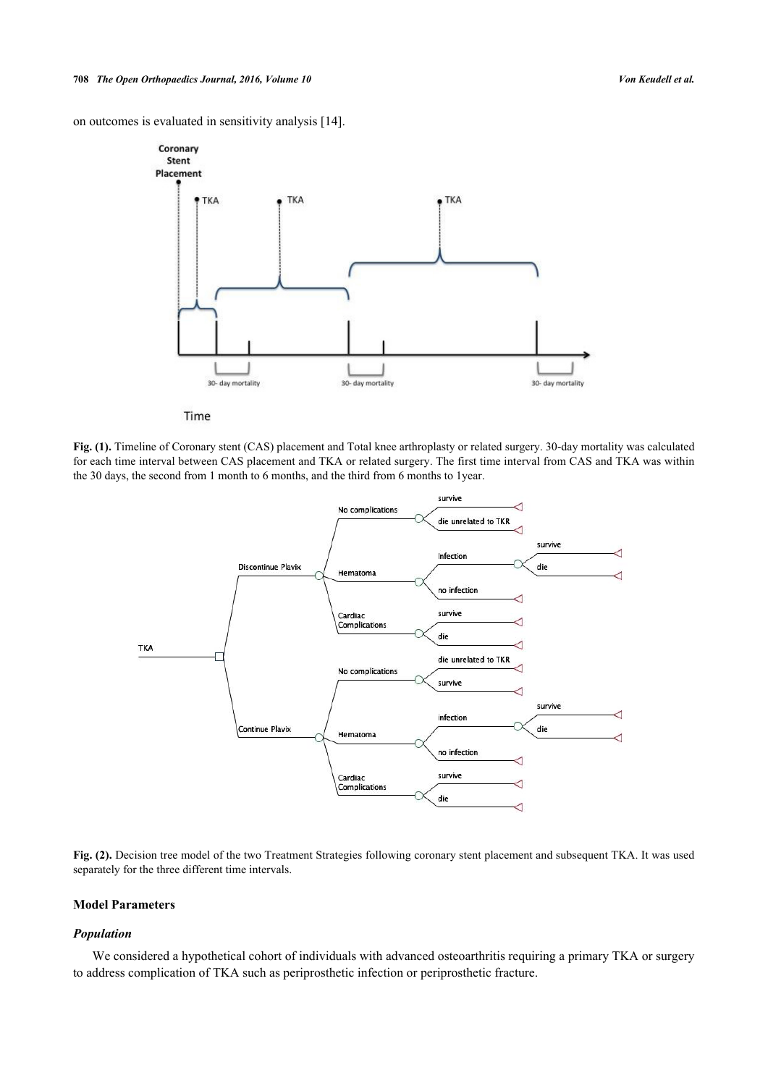<span id="page-2-0"></span>on outcomes is evaluated in sensitivity analysis [[14\]](#page-8-7).



Time

<span id="page-2-1"></span>**Fig. (1).** Timeline of Coronary stent (CAS) placement and Total knee arthroplasty or related surgery. 30-day mortality was calculated for each time interval between CAS placement and TKA or related surgery. The first time interval from CAS and TKA was within the 30 days, the second from 1 month to 6 months, and the third from 6 months to 1year.



Fig. (2). Decision tree model of the two Treatment Strategies following coronary stent placement and subsequent TKA. It was used separately for the three different time intervals.

### **Model Parameters**

## *Population*

We considered a hypothetical cohort of individuals with advanced osteoarthritis requiring a primary TKA or surgery to address complication of TKA such as periprosthetic infection or periprosthetic fracture.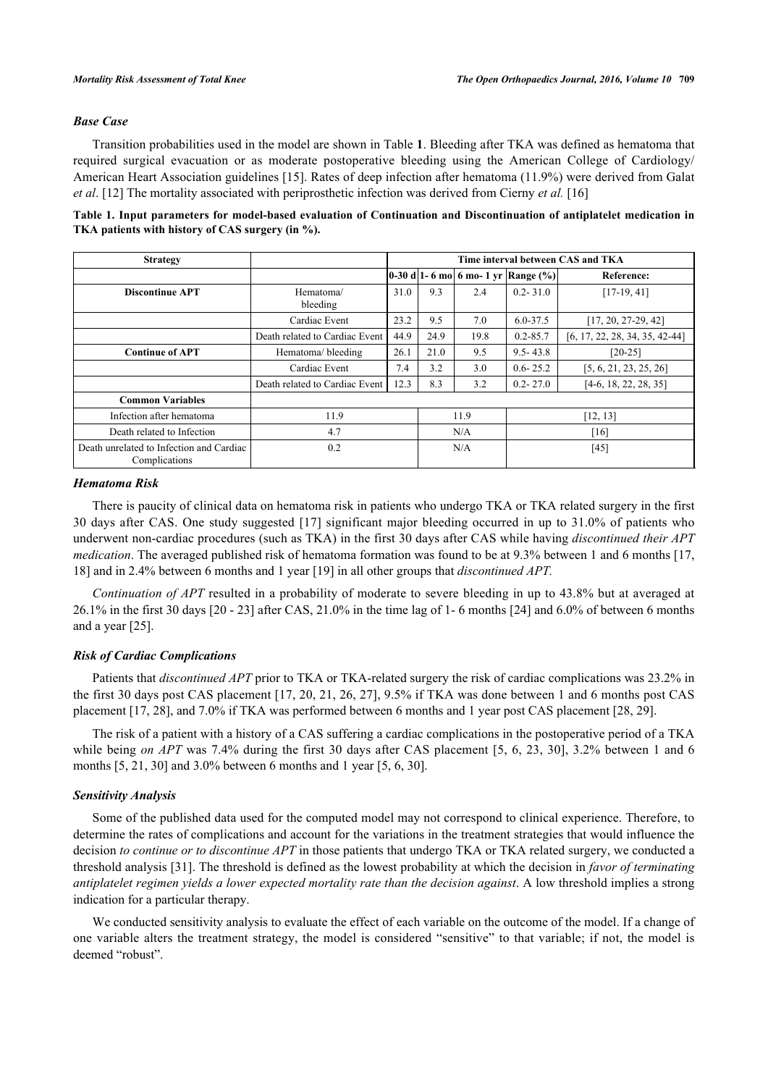# *Base Case*

Transition probabilities used in the model are shown in Table **[1](#page-3-0)**. Bleeding after TKA was defined as hematoma that required surgical evacuation or as moderate postoperative bleeding using the American College of Cardiology/ American Heart Association guidelines [\[15](#page-8-8)]. Rates of deep infection after hematoma (11.9%) were derived from Galat *et al*. [[12\]](#page-8-5) The mortality associated with periprosthetic infection was derived from Cierny *et al.* [\[16](#page-8-9)]

<span id="page-3-0"></span>

| Table 1. Input parameters for model-based evaluation of Continuation and Discontinuation of antiplatelet medication in |  |  |
|------------------------------------------------------------------------------------------------------------------------|--|--|
| TKA patients with history of CAS surgery (in %).                                                                       |  |  |

| <b>Strategy</b>                                           |                                |      | Time interval between CAS and TKA |      |                                           |                                  |
|-----------------------------------------------------------|--------------------------------|------|-----------------------------------|------|-------------------------------------------|----------------------------------|
|                                                           |                                |      |                                   |      | 0-30 d 1- 6 mo  6 mo- 1 yr   Range $(\%)$ | Reference:                       |
| <b>Discontinue APT</b>                                    | Hematoma/<br>bleeding          | 31.0 | 9.3                               | 2.4  | $0.2 - 31.0$                              | $[17-19, 41]$                    |
|                                                           | Cardiac Event                  | 23.2 | 9.5                               | 7.0  | $6.0 - 37.5$                              | $[17, 20, 27-29, 42]$            |
|                                                           | Death related to Cardiac Event | 44.9 | 24.9                              | 19.8 | $0.2 - 85.7$                              | $[6, 17, 22, 28, 34, 35, 42-44]$ |
| <b>Continue of APT</b>                                    | Hematoma/bleeding              | 26.1 | 21.0                              | 9.5  | $9.5 - 43.8$                              | $[20-25]$                        |
|                                                           | Cardiac Event                  | 7.4  | 3.2                               | 3.0  | $0.6 - 25.2$                              | [5, 6, 21, 23, 25, 26]           |
|                                                           | Death related to Cardiac Event | 12.3 | 8.3                               | 3.2  | $0.2 - 27.0$                              | $[4-6, 18, 22, 28, 35]$          |
| <b>Common Variables</b>                                   |                                |      |                                   |      |                                           |                                  |
| Infection after hematoma                                  | 11.9                           |      | 11.9                              |      | [12, 13]                                  |                                  |
| Death related to Infection                                | 4.7                            |      | N/A                               |      | [16]                                      |                                  |
| Death unrelated to Infection and Cardiac<br>Complications | 0.2                            |      | N/A                               |      | $[45]$                                    |                                  |

### *Hematoma Risk*

There is paucity of clinical data on hematoma risk in patients who undergo TKA or TKA related surgery in the first 30 days after CAS. One study suggested [[17\]](#page-8-10) significant major bleeding occurred in up to 31.0% of patients who underwent non-cardiac procedures (such as TKA) in the first 30 days after CAS while having *discontinued their APT medication*. The averaged published risk of hematoma formation was found to be at 9.3% between 1 and 6 months [[17](#page-8-10), [18\]](#page-8-11) and in 2.4% between 6 months and 1 year [[19\]](#page-8-12) in all other groups that *discontinued APT.*

*Continuation of APT* resulted in a probability of moderate to severe bleeding in up to 43.8% but at averaged at 26.1% in the first 30 days [[20](#page-8-13) - [23](#page-8-14)] after CAS, 21.0% in the time lag of 1- 6 months [[24\]](#page-8-15) and 6.0% of between 6 months and a year [[25\]](#page-8-16).

# *Risk of Cardiac Complications*

Patients that *discontinued APT* prior to TKA or TKA-related surgery the risk of cardiac complications was 23.2% in the first 30 days post CAS placement [[17,](#page-8-10) [20](#page-8-13), [21,](#page-8-17) [26,](#page-9-0) [27](#page-9-1)], 9.5% if TKA was done between 1 and 6 months post CAS placement [[17,](#page-8-10) [28\]](#page-9-2), and 7.0% if TKA was performed between 6 months and 1 year post CAS placement [[28,](#page-9-2) [29\]](#page-9-3).

The risk of a patient with a history of a CAS suffering a cardiac complications in the postoperative period of a TKA while being *on APT* was 7.4% during the first 30 days after CAS placement [[5,](#page-7-4) [6](#page-7-5), [23](#page-8-14), [30\]](#page-9-4), 3.2% between 1 and 6 months [[5,](#page-7-4) [21,](#page-8-17) [30\]](#page-9-4) and 3.0% between 6 months and 1 year [[5,](#page-7-4) [6,](#page-7-5) [30\]](#page-9-4).

# *Sensitivity Analysis*

Some of the published data used for the computed model may not correspond to clinical experience. Therefore, to determine the rates of complications and account for the variations in the treatment strategies that would influence the decision *to continue or to discontinue APT* in those patients that undergo TKA or TKA related surgery, we conducted a threshold analysis [[31\]](#page-9-5). The threshold is defined as the lowest probability at which the decision in *favor of terminating antiplatelet regimen yields a lower expected mortality rate than the decision against*. A low threshold implies a strong indication for a particular therapy.

We conducted sensitivity analysis to evaluate the effect of each variable on the outcome of the model. If a change of one variable alters the treatment strategy, the model is considered "sensitive" to that variable; if not, the model is deemed "robust".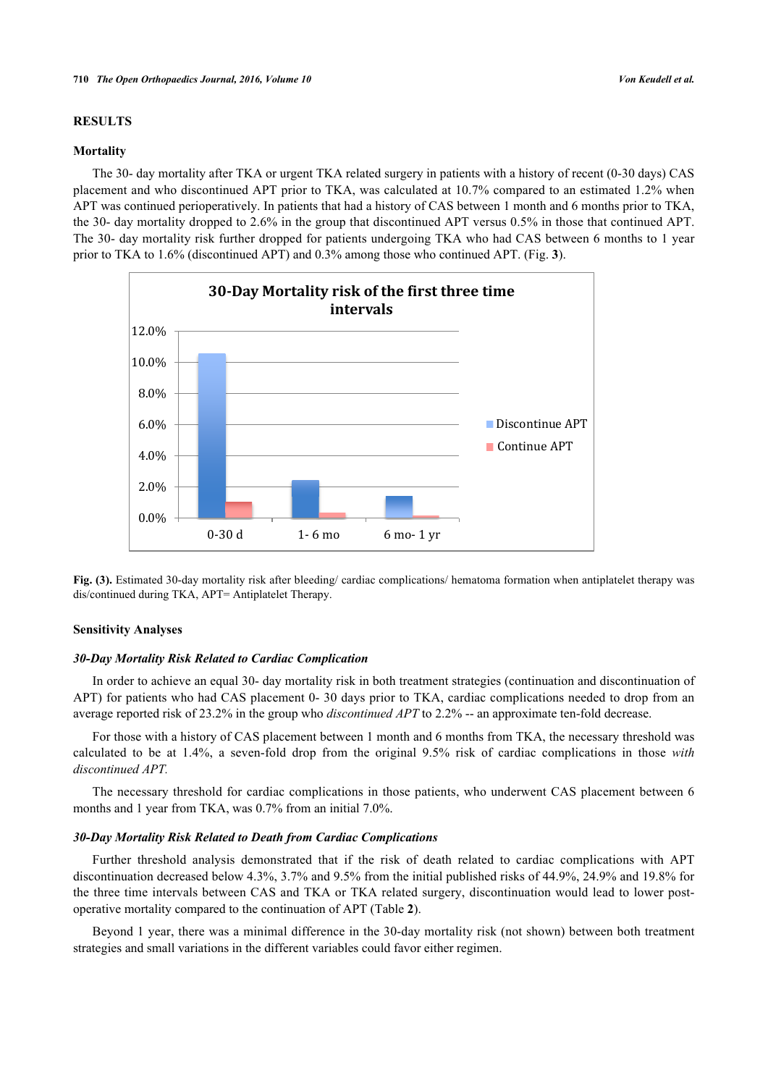# **RESULTS**

### **Mortality**

The 30- day mortality after TKA or urgent TKA related surgery in patients with a history of recent (0-30 days) CAS placement and who discontinued APT prior to TKA, was calculated at 10.7% compared to an estimated 1.2% when APT was continued perioperatively. In patients that had a history of CAS between 1 month and 6 months prior to TKA, the 30- day mortality dropped to 2.6% in the group that discontinued APT versus 0.5% in those that continued APT. The 30- day mortality risk further dropped for patients undergoing TKA who had CAS between 6 months to 1 year prior to TKA to 1.6% (discontinued APT) and 0.3% among those who continued APT. (Fig. **[3](#page-4-0)**).

<span id="page-4-0"></span>

**Fig. (3).** Estimated 30-day mortality risk after bleeding/ cardiac complications/ hematoma formation when antiplatelet therapy was dis/continued during TKA, APT= Antiplatelet Therapy.

# **Sensitivity Analyses**

# *30-Day Mortality Risk Related to Cardiac Complication*

In order to achieve an equal 30- day mortality risk in both treatment strategies (continuation and discontinuation of APT) for patients who had CAS placement 0- 30 days prior to TKA, cardiac complications needed to drop from an average reported risk of 23.2% in the group who *discontinued APT* to 2.2% -- an approximate ten-fold decrease.

For those with a history of CAS placement between 1 month and 6 months from TKA, the necessary threshold was calculated to be at 1.4%, a seven-fold drop from the original 9.5% risk of cardiac complications in those *with discontinued APT.*

The necessary threshold for cardiac complications in those patients, who underwent CAS placement between 6 months and 1 year from TKA, was 0.7% from an initial 7.0%.

#### *30-Day Mortality Risk Related to Death from Cardiac Complications*

Further threshold analysis demonstrated that if the risk of death related to cardiac complications with APT discontinuation decreased below 4.3%, 3.7% and 9.5% from the initial published risks of 44.9%, 24.9% and 19.8% for the three time intervals between CAS and TKA or TKA related surgery, discontinuation would lead to lower postoperative mortality compared to the continuation of APT (Table **[2](#page-5-0)**).

Beyond 1 year, there was a minimal difference in the 30-day mortality risk (not shown) between both treatment strategies and small variations in the different variables could favor either regimen.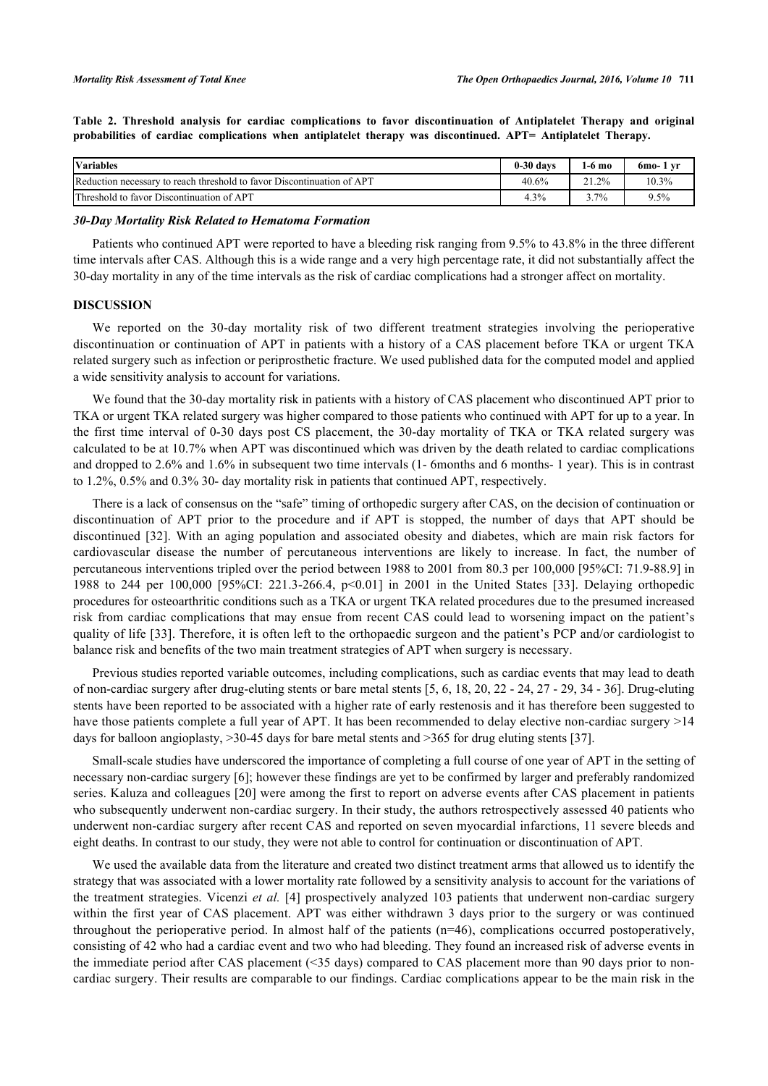<span id="page-5-0"></span>**Table 2. Threshold analysis for cardiac complications to favor discontinuation of Antiplatelet Therapy and original probabilities of cardiac complications when antiplatelet therapy was discontinued. APT= Antiplatelet Therapy.**

| <b>Variables</b>                                                       | $0-30$ davs | l <b>-6 mo</b> | 6mo- 1 yr |
|------------------------------------------------------------------------|-------------|----------------|-----------|
| Reduction necessary to reach threshold to favor Discontinuation of APT | 40.6%       | 21.2%          | $10.3\%$  |
| Threshold to favor Discontinuation of APT                              | 4.3%        | $7\%$          | $9.5\%$   |

*30-Day Mortality Risk Related to Hematoma Formation*

Patients who continued APT were reported to have a bleeding risk ranging from 9.5% to 43.8% in the three different time intervals after CAS. Although this is a wide range and a very high percentage rate, it did not substantially affect the 30-day mortality in any of the time intervals as the risk of cardiac complications had a stronger affect on mortality.

# **DISCUSSION**

We reported on the 30-day mortality risk of two different treatment strategies involving the perioperative discontinuation or continuation of APT in patients with a history of a CAS placement before TKA or urgent TKA related surgery such as infection or periprosthetic fracture. We used published data for the computed model and applied a wide sensitivity analysis to account for variations.

We found that the 30-day mortality risk in patients with a history of CAS placement who discontinued APT prior to TKA or urgent TKA related surgery was higher compared to those patients who continued with APT for up to a year. In the first time interval of 0-30 days post CS placement, the 30-day mortality of TKA or TKA related surgery was calculated to be at 10.7% when APT was discontinued which was driven by the death related to cardiac complications and dropped to 2.6% and 1.6% in subsequent two time intervals (1- 6months and 6 months- 1 year). This is in contrast to 1.2%, 0.5% and 0.3% 30- day mortality risk in patients that continued APT, respectively.

There is a lack of consensus on the "safe" timing of orthopedic surgery after CAS, on the decision of continuation or discontinuation of APT prior to the procedure and if APT is stopped, the number of days that APT should be discontinued [\[32\]](#page-9-6). With an aging population and associated obesity and diabetes, which are main risk factors for cardiovascular disease the number of percutaneous interventions are likely to increase. In fact, the number of percutaneous interventions tripled over the period between 1988 to 2001 from 80.3 per 100,000 [95%CI: 71.9-88.9] in 1988 to 244 per 100,000 [95%CI: 221.3-266.4, p<0.01] in 2001 in the United States [\[33\]](#page-9-7). Delaying orthopedic procedures for osteoarthritic conditions such as a TKA or urgent TKA related procedures due to the presumed increased risk from cardiac complications that may ensue from recent CAS could lead to worsening impact on the patient's quality of life [[33](#page-9-7)]. Therefore, it is often left to the orthopaedic surgeon and the patient's PCP and/or cardiologist to balance risk and benefits of the two main treatment strategies of APT when surgery is necessary.

Previous studies reported variable outcomes, including complications, such as cardiac events that may lead to death of non-cardiac surgery after drug-eluting stents or bare metal stents [[5,](#page-7-4) [6,](#page-7-5) [18,](#page-8-11) [20,](#page-8-13) [22](#page-8-18) - [24](#page-8-15), [27](#page-9-1) - [29,](#page-9-3) [34](#page-9-8) - [36](#page-9-9)]. Drug-eluting stents have been reported to be associated with a higher rate of early restenosis and it has therefore been suggested to have those patients complete a full year of APT. It has been recommended to delay elective non-cardiac surgery >14 days for balloon angioplasty, >30-45 days for bare metal stents and >365 for drug eluting stents [\[37](#page-9-10)].

Small-scale studies have underscored the importance of completing a full course of one year of APT in the setting of necessary non-cardiac surgery [[6\]](#page-7-5); however these findings are yet to be confirmed by larger and preferably randomized series. Kaluza and colleagues [\[20](#page-8-13)] were among the first to report on adverse events after CAS placement in patients who subsequently underwent non-cardiac surgery. In their study, the authors retrospectively assessed 40 patients who underwent non-cardiac surgery after recent CAS and reported on seven myocardial infarctions, 11 severe bleeds and eight deaths. In contrast to our study, they were not able to control for continuation or discontinuation of APT.

We used the available data from the literature and created two distinct treatment arms that allowed us to identify the strategy that was associated with a lower mortality rate followed by a sensitivity analysis to account for the variations of the treatment strategies. Vicenzi *et al.* [[4\]](#page-7-3) prospectively analyzed 103 patients that underwent non-cardiac surgery within the first year of CAS placement. APT was either withdrawn 3 days prior to the surgery or was continued throughout the perioperative period. In almost half of the patients (n=46), complications occurred postoperatively, consisting of 42 who had a cardiac event and two who had bleeding. They found an increased risk of adverse events in the immediate period after CAS placement (<35 days) compared to CAS placement more than 90 days prior to noncardiac surgery. Their results are comparable to our findings. Cardiac complications appear to be the main risk in the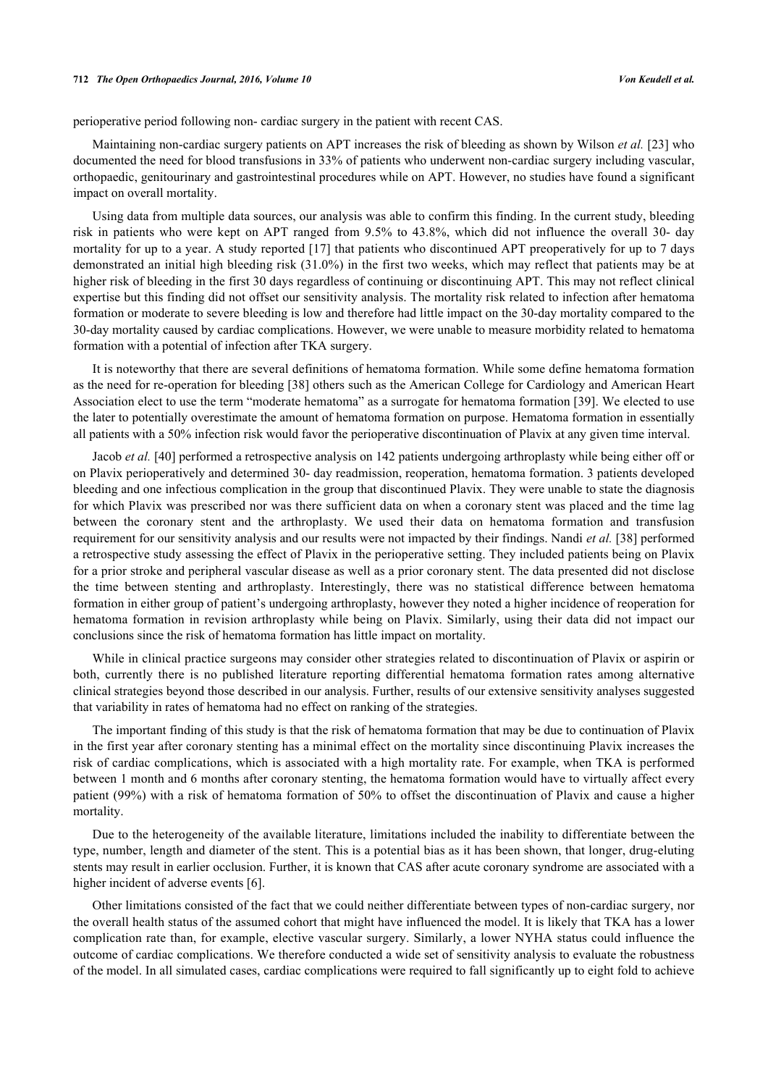#### **712** *The Open Orthopaedics Journal, 2016, Volume 10 Von Keudell et al.*

perioperative period following non- cardiac surgery in the patient with recent CAS.

Maintaining non-cardiac surgery patients on APT increases the risk of bleeding as shown by Wilson *et al.* [\[23](#page-8-14)] who documented the need for blood transfusions in 33% of patients who underwent non-cardiac surgery including vascular, orthopaedic, genitourinary and gastrointestinal procedures while on APT. However, no studies have found a significant impact on overall mortality.

Using data from multiple data sources, our analysis was able to confirm this finding. In the current study, bleeding risk in patients who were kept on APT ranged from 9.5% to 43.8%, which did not influence the overall 30- day mortality for up to a year. A study reported [[17](#page-8-10)] that patients who discontinued APT preoperatively for up to 7 days demonstrated an initial high bleeding risk (31.0%) in the first two weeks, which may reflect that patients may be at higher risk of bleeding in the first 30 days regardless of continuing or discontinuing APT. This may not reflect clinical expertise but this finding did not offset our sensitivity analysis. The mortality risk related to infection after hematoma formation or moderate to severe bleeding is low and therefore had little impact on the 30-day mortality compared to the 30-day mortality caused by cardiac complications. However, we were unable to measure morbidity related to hematoma formation with a potential of infection after TKA surgery.

It is noteworthy that there are several definitions of hematoma formation. While some define hematoma formation as the need for re-operation for bleeding [\[38\]](#page-9-11) others such as the American College for Cardiology and American Heart Association elect to use the term "moderate hematoma" as a surrogate for hematoma formation [\[39](#page-9-12)]. We elected to use the later to potentially overestimate the amount of hematoma formation on purpose. Hematoma formation in essentially all patients with a 50% infection risk would favor the perioperative discontinuation of Plavix at any given time interval.

Jacob *et al.* [[40\]](#page-9-13) performed a retrospective analysis on 142 patients undergoing arthroplasty while being either off or on Plavix perioperatively and determined 30- day readmission, reoperation, hematoma formation. 3 patients developed bleeding and one infectious complication in the group that discontinued Plavix. They were unable to state the diagnosis for which Plavix was prescribed nor was there sufficient data on when a coronary stent was placed and the time lag between the coronary stent and the arthroplasty. We used their data on hematoma formation and transfusion requirement for our sensitivity analysis and our results were not impacted by their findings. Nandi *et al.* [[38\]](#page-9-11) performed a retrospective study assessing the effect of Plavix in the perioperative setting. They included patients being on Plavix for a prior stroke and peripheral vascular disease as well as a prior coronary stent. The data presented did not disclose the time between stenting and arthroplasty. Interestingly, there was no statistical difference between hematoma formation in either group of patient's undergoing arthroplasty, however they noted a higher incidence of reoperation for hematoma formation in revision arthroplasty while being on Plavix. Similarly, using their data did not impact our conclusions since the risk of hematoma formation has little impact on mortality.

While in clinical practice surgeons may consider other strategies related to discontinuation of Plavix or aspirin or both, currently there is no published literature reporting differential hematoma formation rates among alternative clinical strategies beyond those described in our analysis. Further, results of our extensive sensitivity analyses suggested that variability in rates of hematoma had no effect on ranking of the strategies.

The important finding of this study is that the risk of hematoma formation that may be due to continuation of Plavix in the first year after coronary stenting has a minimal effect on the mortality since discontinuing Plavix increases the risk of cardiac complications, which is associated with a high mortality rate. For example, when TKA is performed between 1 month and 6 months after coronary stenting, the hematoma formation would have to virtually affect every patient (99%) with a risk of hematoma formation of 50% to offset the discontinuation of Plavix and cause a higher mortality.

Due to the heterogeneity of the available literature, limitations included the inability to differentiate between the type, number, length and diameter of the stent. This is a potential bias as it has been shown, that longer, drug-eluting stents may result in earlier occlusion. Further, it is known that CAS after acute coronary syndrome are associated with a higher incident of adverse events [[6\]](#page-7-5).

Other limitations consisted of the fact that we could neither differentiate between types of non-cardiac surgery, nor the overall health status of the assumed cohort that might have influenced the model. It is likely that TKA has a lower complication rate than, for example, elective vascular surgery. Similarly, a lower NYHA status could influence the outcome of cardiac complications. We therefore conducted a wide set of sensitivity analysis to evaluate the robustness of the model. In all simulated cases, cardiac complications were required to fall significantly up to eight fold to achieve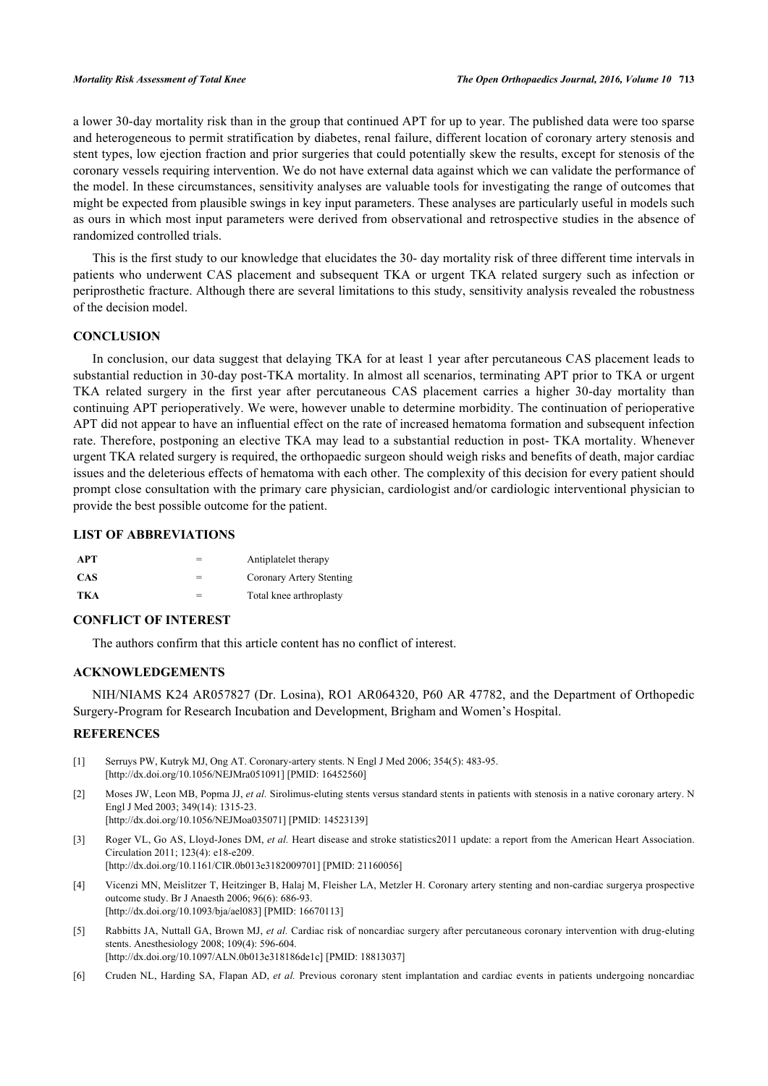a lower 30-day mortality risk than in the group that continued APT for up to year. The published data were too sparse and heterogeneous to permit stratification by diabetes, renal failure, different location of coronary artery stenosis and stent types, low ejection fraction and prior surgeries that could potentially skew the results, except for stenosis of the coronary vessels requiring intervention. We do not have external data against which we can validate the performance of the model. In these circumstances, sensitivity analyses are valuable tools for investigating the range of outcomes that might be expected from plausible swings in key input parameters. These analyses are particularly useful in models such as ours in which most input parameters were derived from observational and retrospective studies in the absence of randomized controlled trials.

This is the first study to our knowledge that elucidates the 30- day mortality risk of three different time intervals in patients who underwent CAS placement and subsequent TKA or urgent TKA related surgery such as infection or periprosthetic fracture. Although there are several limitations to this study, sensitivity analysis revealed the robustness of the decision model.

# **CONCLUSION**

In conclusion, our data suggest that delaying TKA for at least 1 year after percutaneous CAS placement leads to substantial reduction in 30-day post-TKA mortality. In almost all scenarios, terminating APT prior to TKA or urgent TKA related surgery in the first year after percutaneous CAS placement carries a higher 30-day mortality than continuing APT perioperatively. We were, however unable to determine morbidity. The continuation of perioperative APT did not appear to have an influential effect on the rate of increased hematoma formation and subsequent infection rate. Therefore, postponing an elective TKA may lead to a substantial reduction in post- TKA mortality. Whenever urgent TKA related surgery is required, the orthopaedic surgeon should weigh risks and benefits of death, major cardiac issues and the deleterious effects of hematoma with each other. The complexity of this decision for every patient should prompt close consultation with the primary care physician, cardiologist and/or cardiologic interventional physician to provide the best possible outcome for the patient.

# **LIST OF ABBREVIATIONS**

| <b>APT</b> | Antiplatelet therapy     |
|------------|--------------------------|
| <b>CAS</b> | Coronary Artery Stenting |
| TKA        | Total knee arthroplasty  |

# **CONFLICT OF INTEREST**

The authors confirm that this article content has no conflict of interest.

# **ACKNOWLEDGEMENTS**

NIH/NIAMS K24 AR057827 (Dr. Losina), RO1 AR064320, P60 AR 47782, and the Department of Orthopedic Surgery-Program for Research Incubation and Development, Brigham and Women's Hospital.

# **REFERENCES**

- <span id="page-7-0"></span>[1] Serruys PW, Kutryk MJ, Ong AT. Coronary-artery stents. N Engl J Med 2006; 354(5): 483-95. [\[http://dx.doi.org/10.1056/NEJMra051091\]](http://dx.doi.org/10.1056/NEJMra051091) [PMID: [16452560](http://www.ncbi.nlm.nih.gov/pubmed/16452560)]
- <span id="page-7-1"></span>[2] Moses JW, Leon MB, Popma JJ, *et al.* Sirolimus-eluting stents versus standard stents in patients with stenosis in a native coronary artery. N Engl J Med 2003; 349(14): 1315-23. [\[http://dx.doi.org/10.1056/NEJMoa035071](http://dx.doi.org/10.1056/NEJMoa035071)] [PMID: [14523139\]](http://www.ncbi.nlm.nih.gov/pubmed/14523139)
- <span id="page-7-2"></span>[3] Roger VL, Go AS, Lloyd-Jones DM, *et al.* Heart disease and stroke statistics2011 update: a report from the American Heart Association. Circulation 2011; 123(4): e18-e209.
	- [\[http://dx.doi.org/10.1161/CIR.0b013e3182009701\]](http://dx.doi.org/10.1161/CIR.0b013e3182009701) [PMID: [21160056](http://www.ncbi.nlm.nih.gov/pubmed/21160056)]
- <span id="page-7-3"></span>[4] Vicenzi MN, Meislitzer T, Heitzinger B, Halaj M, Fleisher LA, Metzler H. Coronary artery stenting and non-cardiac surgerya prospective outcome study. Br J Anaesth 2006; 96(6): 686-93. [\[http://dx.doi.org/10.1093/bja/ael083](http://dx.doi.org/10.1093/bja/ael083)] [PMID: [16670113\]](http://www.ncbi.nlm.nih.gov/pubmed/16670113)
- <span id="page-7-4"></span>[5] Rabbitts JA, Nuttall GA, Brown MJ, *et al.* Cardiac risk of noncardiac surgery after percutaneous coronary intervention with drug-eluting stents. Anesthesiology 2008; 109(4): 596-604. [\[http://dx.doi.org/10.1097/ALN.0b013e318186de1c\]](http://dx.doi.org/10.1097/ALN.0b013e318186de1c) [PMID: [18813037](http://www.ncbi.nlm.nih.gov/pubmed/18813037)]
- <span id="page-7-5"></span>[6] Cruden NL, Harding SA, Flapan AD, *et al.* Previous coronary stent implantation and cardiac events in patients undergoing noncardiac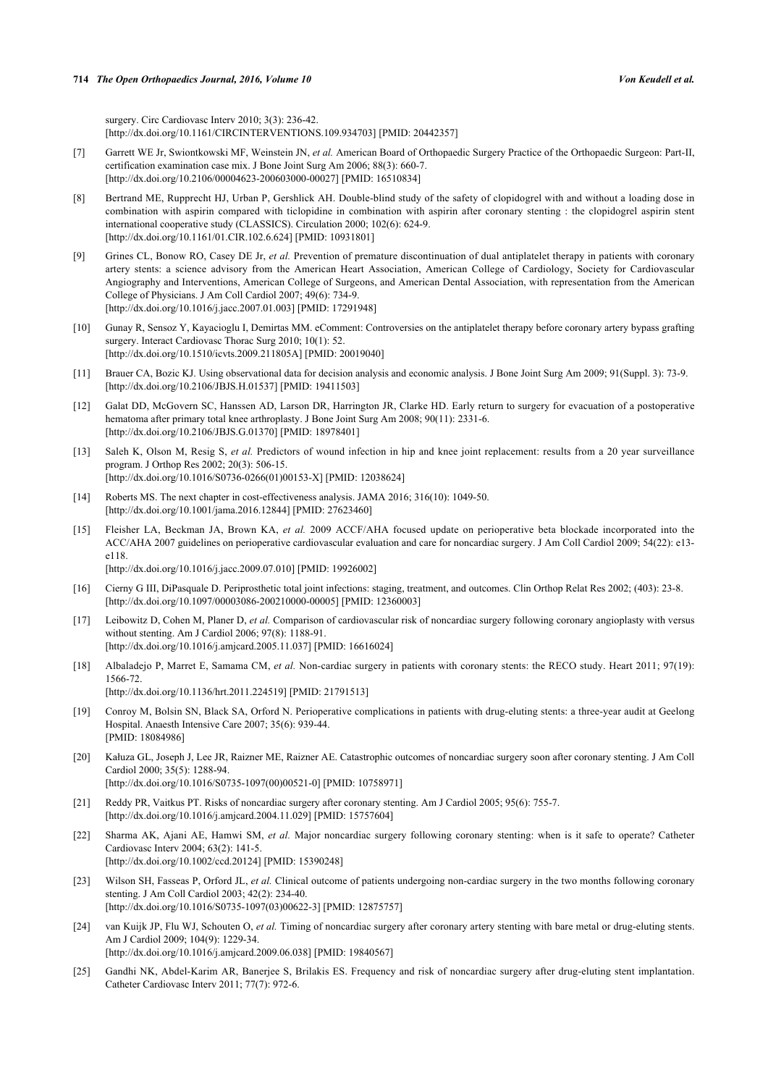surgery. Circ Cardiovasc Interv 2010; 3(3): 236-42. [\[http://dx.doi.org/10.1161/CIRCINTERVENTIONS.109.934703](http://dx.doi.org/10.1161/CIRCINTERVENTIONS.109.934703)] [PMID: [20442357\]](http://www.ncbi.nlm.nih.gov/pubmed/20442357)

- <span id="page-8-0"></span>[7] Garrett WE Jr, Swiontkowski MF, Weinstein JN, *et al.* American Board of Orthopaedic Surgery Practice of the Orthopaedic Surgeon: Part-II, certification examination case mix. J Bone Joint Surg Am 2006; 88(3): 660-7. [\[http://dx.doi.org/10.2106/00004623-200603000-00027](http://dx.doi.org/10.2106/00004623-200603000-00027)] [PMID: [16510834\]](http://www.ncbi.nlm.nih.gov/pubmed/16510834)
- <span id="page-8-1"></span>[8] Bertrand ME, Rupprecht HJ, Urban P, Gershlick AH. Double-blind study of the safety of clopidogrel with and without a loading dose in combination with aspirin compared with ticlopidine in combination with aspirin after coronary stenting : the clopidogrel aspirin stent international cooperative study (CLASSICS). Circulation 2000; 102(6): 624-9. [\[http://dx.doi.org/10.1161/01.CIR.102.6.624](http://dx.doi.org/10.1161/01.CIR.102.6.624)] [PMID: [10931801\]](http://www.ncbi.nlm.nih.gov/pubmed/10931801)
- <span id="page-8-2"></span>[9] Grines CL, Bonow RO, Casey DE Jr, *et al.* Prevention of premature discontinuation of dual antiplatelet therapy in patients with coronary artery stents: a science advisory from the American Heart Association, American College of Cardiology, Society for Cardiovascular Angiography and Interventions, American College of Surgeons, and American Dental Association, with representation from the American College of Physicians. J Am Coll Cardiol 2007; 49(6): 734-9. [\[http://dx.doi.org/10.1016/j.jacc.2007.01.003\]](http://dx.doi.org/10.1016/j.jacc.2007.01.003) [PMID: [17291948](http://www.ncbi.nlm.nih.gov/pubmed/17291948)]
- <span id="page-8-3"></span>[10] Gunay R, Sensoz Y, Kayacioglu I, Demirtas MM. eComment: Controversies on the antiplatelet therapy before coronary artery bypass grafting surgery. Interact Cardiovasc Thorac Surg 2010; 10(1): 52. [\[http://dx.doi.org/10.1510/icvts.2009.211805A\]](http://dx.doi.org/10.1510/icvts.2009.211805A) [PMID: [20019040](http://www.ncbi.nlm.nih.gov/pubmed/20019040)]
- <span id="page-8-4"></span>[11] Brauer CA, Bozic KJ. Using observational data for decision analysis and economic analysis. J Bone Joint Surg Am 2009; 91(Suppl. 3): 73-9. [\[http://dx.doi.org/10.2106/JBJS.H.01537\]](http://dx.doi.org/10.2106/JBJS.H.01537) [PMID: [19411503](http://www.ncbi.nlm.nih.gov/pubmed/19411503)]
- <span id="page-8-5"></span>[12] Galat DD, McGovern SC, Hanssen AD, Larson DR, Harrington JR, Clarke HD. Early return to surgery for evacuation of a postoperative hematoma after primary total knee arthroplasty. J Bone Joint Surg Am 2008; 90(11): 2331-6. [\[http://dx.doi.org/10.2106/JBJS.G.01370\]](http://dx.doi.org/10.2106/JBJS.G.01370) [PMID: [18978401](http://www.ncbi.nlm.nih.gov/pubmed/18978401)]
- <span id="page-8-6"></span>[13] Saleh K, Olson M, Resig S, *et al.* Predictors of wound infection in hip and knee joint replacement: results from a 20 year surveillance program. J Orthop Res 2002; 20(3): 506-15. [\[http://dx.doi.org/10.1016/S0736-0266\(01\)00153-X\]](http://dx.doi.org/10.1016/S0736-0266(01)00153-X) [PMID: [12038624](http://www.ncbi.nlm.nih.gov/pubmed/12038624)]
- <span id="page-8-7"></span>[14] Roberts MS. The next chapter in cost-effectiveness analysis. JAMA 2016; 316(10): 1049-50. [\[http://dx.doi.org/10.1001/jama.2016.12844](http://dx.doi.org/10.1001/jama.2016.12844)] [PMID: [27623460\]](http://www.ncbi.nlm.nih.gov/pubmed/27623460)
- <span id="page-8-8"></span>[15] Fleisher LA, Beckman JA, Brown KA, *et al.* 2009 ACCF/AHA focused update on perioperative beta blockade incorporated into the ACC/AHA 2007 guidelines on perioperative cardiovascular evaluation and care for noncardiac surgery. J Am Coll Cardiol 2009; 54(22): e13 e118.

[\[http://dx.doi.org/10.1016/j.jacc.2009.07.010\]](http://dx.doi.org/10.1016/j.jacc.2009.07.010) [PMID: [19926002](http://www.ncbi.nlm.nih.gov/pubmed/19926002)]

- <span id="page-8-9"></span>[16] Cierny G III, DiPasquale D. Periprosthetic total joint infections: staging, treatment, and outcomes. Clin Orthop Relat Res 2002; (403): 23-8. [\[http://dx.doi.org/10.1097/00003086-200210000-00005](http://dx.doi.org/10.1097/00003086-200210000-00005)] [PMID: [12360003\]](http://www.ncbi.nlm.nih.gov/pubmed/12360003)
- <span id="page-8-10"></span>[17] Leibowitz D, Cohen M, Planer D, *et al.* Comparison of cardiovascular risk of noncardiac surgery following coronary angioplasty with versus without stenting. Am J Cardiol 2006; 97(8): 1188-91. [\[http://dx.doi.org/10.1016/j.amjcard.2005.11.037\]](http://dx.doi.org/10.1016/j.amjcard.2005.11.037) [PMID: [16616024](http://www.ncbi.nlm.nih.gov/pubmed/16616024)]
- <span id="page-8-11"></span>[18] Albaladejo P, Marret E, Samama CM, *et al.* Non-cardiac surgery in patients with coronary stents: the RECO study. Heart 2011; 97(19): 1566-72. [\[http://dx.doi.org/10.1136/hrt.2011.224519\]](http://dx.doi.org/10.1136/hrt.2011.224519) [PMID: [21791513](http://www.ncbi.nlm.nih.gov/pubmed/21791513)]
- <span id="page-8-12"></span>[19] Conroy M, Bolsin SN, Black SA, Orford N. Perioperative complications in patients with drug-eluting stents: a three-year audit at Geelong Hospital. Anaesth Intensive Care 2007; 35(6): 939-44. [PMID: [18084986\]](http://www.ncbi.nlm.nih.gov/pubmed/18084986)
- <span id="page-8-13"></span>[20] Kałuza GL, Joseph J, Lee JR, Raizner ME, Raizner AE. Catastrophic outcomes of noncardiac surgery soon after coronary stenting. J Am Coll Cardiol 2000; 35(5): 1288-94. [\[http://dx.doi.org/10.1016/S0735-1097\(00\)00521-0\]](http://dx.doi.org/10.1016/S0735-1097(00)00521-0) [PMID: [10758971](http://www.ncbi.nlm.nih.gov/pubmed/10758971)]
- <span id="page-8-17"></span>[21] Reddy PR, Vaitkus PT. Risks of noncardiac surgery after coronary stenting. Am J Cardiol 2005; 95(6): 755-7. [\[http://dx.doi.org/10.1016/j.amjcard.2004.11.029\]](http://dx.doi.org/10.1016/j.amjcard.2004.11.029) [PMID: [15757604](http://www.ncbi.nlm.nih.gov/pubmed/15757604)]
- <span id="page-8-18"></span>[22] Sharma AK, Ajani AE, Hamwi SM, *et al.* Major noncardiac surgery following coronary stenting: when is it safe to operate? Catheter Cardiovasc Interv 2004; 63(2): 141-5. [\[http://dx.doi.org/10.1002/ccd.20124\]](http://dx.doi.org/10.1002/ccd.20124) [PMID: [15390248](http://www.ncbi.nlm.nih.gov/pubmed/15390248)]
- <span id="page-8-14"></span>[23] Wilson SH, Fasseas P, Orford JL, *et al.* Clinical outcome of patients undergoing non-cardiac surgery in the two months following coronary stenting. J Am Coll Cardiol 2003; 42(2): 234-40. [\[http://dx.doi.org/10.1016/S0735-1097\(03\)00622-3\]](http://dx.doi.org/10.1016/S0735-1097(03)00622-3) [PMID: [12875757](http://www.ncbi.nlm.nih.gov/pubmed/12875757)]
- <span id="page-8-15"></span>[24] van Kuijk JP, Flu WJ, Schouten O, *et al.* Timing of noncardiac surgery after coronary artery stenting with bare metal or drug-eluting stents. Am J Cardiol 2009; 104(9): 1229-34.
	- [\[http://dx.doi.org/10.1016/j.amjcard.2009.06.038\]](http://dx.doi.org/10.1016/j.amjcard.2009.06.038) [PMID: [19840567](http://www.ncbi.nlm.nih.gov/pubmed/19840567)]
- <span id="page-8-16"></span>[25] Gandhi NK, Abdel-Karim AR, Banerjee S, Brilakis ES. Frequency and risk of noncardiac surgery after drug-eluting stent implantation. Catheter Cardiovasc Interv 2011; 77(7): 972-6.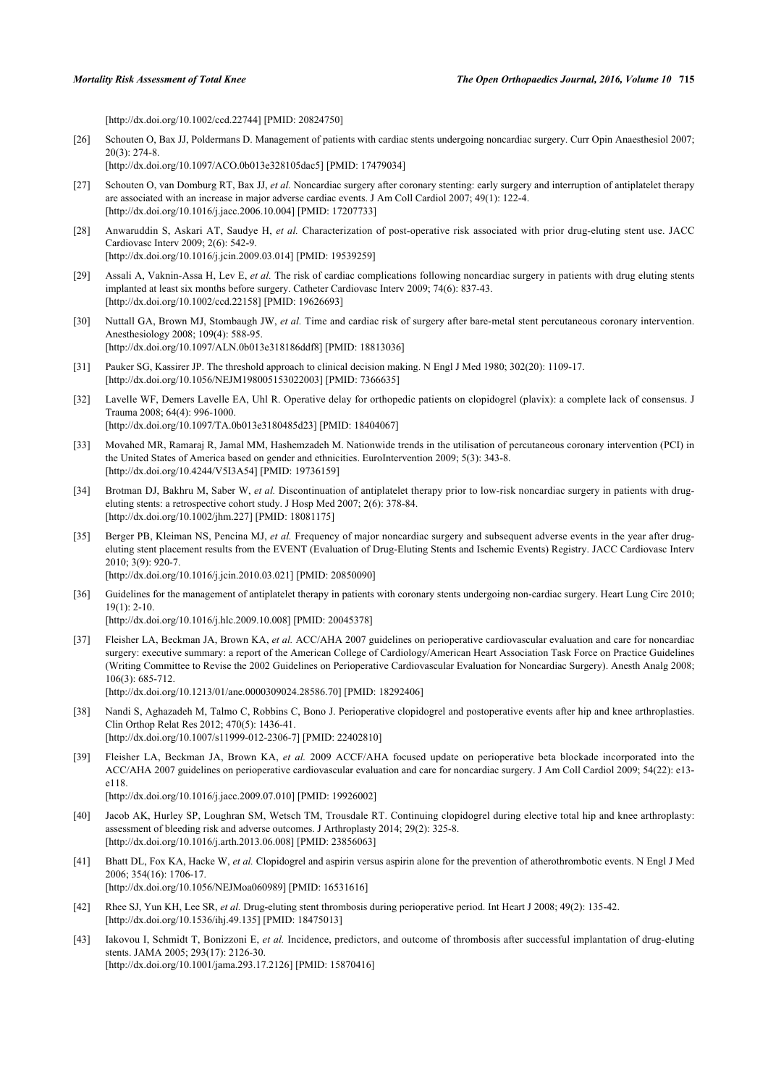[\[http://dx.doi.org/10.1002/ccd.22744\]](http://dx.doi.org/10.1002/ccd.22744) [PMID: [20824750](http://www.ncbi.nlm.nih.gov/pubmed/20824750)]

<span id="page-9-0"></span>[26] Schouten O, Bax JJ, Poldermans D. Management of patients with cardiac stents undergoing noncardiac surgery. Curr Opin Anaesthesiol 2007; 20(3): 274-8.

[\[http://dx.doi.org/10.1097/ACO.0b013e328105dac5](http://dx.doi.org/10.1097/ACO.0b013e328105dac5)] [PMID: [17479034\]](http://www.ncbi.nlm.nih.gov/pubmed/17479034)

- <span id="page-9-1"></span>[27] Schouten O, van Domburg RT, Bax JJ, *et al.* Noncardiac surgery after coronary stenting: early surgery and interruption of antiplatelet therapy are associated with an increase in major adverse cardiac events. J Am Coll Cardiol 2007; 49(1): 122-4. [\[http://dx.doi.org/10.1016/j.jacc.2006.10.004\]](http://dx.doi.org/10.1016/j.jacc.2006.10.004) [PMID: [17207733](http://www.ncbi.nlm.nih.gov/pubmed/17207733)]
- <span id="page-9-2"></span>[28] Anwaruddin S, Askari AT, Saudye H, *et al.* Characterization of post-operative risk associated with prior drug-eluting stent use. JACC Cardiovasc Interv 2009; 2(6): 542-9. [\[http://dx.doi.org/10.1016/j.jcin.2009.03.014](http://dx.doi.org/10.1016/j.jcin.2009.03.014)] [PMID: [19539259\]](http://www.ncbi.nlm.nih.gov/pubmed/19539259)
- <span id="page-9-3"></span>[29] Assali A, Vaknin-Assa H, Lev E, *et al.* The risk of cardiac complications following noncardiac surgery in patients with drug eluting stents implanted at least six months before surgery. Catheter Cardiovasc Interv 2009; 74(6): 837-43. [\[http://dx.doi.org/10.1002/ccd.22158\]](http://dx.doi.org/10.1002/ccd.22158) [PMID: [19626693](http://www.ncbi.nlm.nih.gov/pubmed/19626693)]
- <span id="page-9-4"></span>[30] Nuttall GA, Brown MJ, Stombaugh JW, *et al.* Time and cardiac risk of surgery after bare-metal stent percutaneous coronary intervention. Anesthesiology 2008; 109(4): 588-95. [\[http://dx.doi.org/10.1097/ALN.0b013e318186ddf8](http://dx.doi.org/10.1097/ALN.0b013e318186ddf8)] [PMID: [18813036](http://www.ncbi.nlm.nih.gov/pubmed/18813036)]
- <span id="page-9-5"></span>[31] Pauker SG, Kassirer JP. The threshold approach to clinical decision making. N Engl J Med 1980; 302(20): 1109-17. [\[http://dx.doi.org/10.1056/NEJM198005153022003\]](http://dx.doi.org/10.1056/NEJM198005153022003) [PMID: [7366635](http://www.ncbi.nlm.nih.gov/pubmed/7366635)]
- <span id="page-9-6"></span>[32] Lavelle WF, Demers Lavelle EA, Uhl R. Operative delay for orthopedic patients on clopidogrel (plavix): a complete lack of consensus. J Trauma 2008; 64(4): 996-1000. [\[http://dx.doi.org/10.1097/TA.0b013e3180485d23](http://dx.doi.org/10.1097/TA.0b013e3180485d23)] [PMID: [18404067\]](http://www.ncbi.nlm.nih.gov/pubmed/18404067)
- <span id="page-9-7"></span>[33] Movahed MR, Ramaraj R, Jamal MM, Hashemzadeh M. Nationwide trends in the utilisation of percutaneous coronary intervention (PCI) in the United States of America based on gender and ethnicities. EuroIntervention 2009; 5(3): 343-8. [\[http://dx.doi.org/10.4244/V5I3A54](http://dx.doi.org/10.4244/V5I3A54)] [PMID: [19736159\]](http://www.ncbi.nlm.nih.gov/pubmed/19736159)
- <span id="page-9-8"></span>[34] Brotman DJ, Bakhru M, Saber W, *et al.* Discontinuation of antiplatelet therapy prior to low-risk noncardiac surgery in patients with drugeluting stents: a retrospective cohort study. J Hosp Med 2007; 2(6): 378-84. [\[http://dx.doi.org/10.1002/jhm.227](http://dx.doi.org/10.1002/jhm.227)] [PMID: [18081175\]](http://www.ncbi.nlm.nih.gov/pubmed/18081175)
- [35] Berger PB, Kleiman NS, Pencina MJ, *et al.* Frequency of major noncardiac surgery and subsequent adverse events in the year after drugeluting stent placement results from the EVENT (Evaluation of Drug-Eluting Stents and Ischemic Events) Registry. JACC Cardiovasc Interv 2010; 3(9): 920-7.

[\[http://dx.doi.org/10.1016/j.jcin.2010.03.021](http://dx.doi.org/10.1016/j.jcin.2010.03.021)] [PMID: [20850090\]](http://www.ncbi.nlm.nih.gov/pubmed/20850090)

<span id="page-9-9"></span>[36] Guidelines for the management of antiplatelet therapy in patients with coronary stents undergoing non-cardiac surgery. Heart Lung Circ 2010; 19(1): 2-10.

[\[http://dx.doi.org/10.1016/j.hlc.2009.10.008\]](http://dx.doi.org/10.1016/j.hlc.2009.10.008) [PMID: [20045378](http://www.ncbi.nlm.nih.gov/pubmed/20045378)]

- <span id="page-9-10"></span>[37] Fleisher LA, Beckman JA, Brown KA, *et al.* ACC/AHA 2007 guidelines on perioperative cardiovascular evaluation and care for noncardiac surgery: executive summary: a report of the American College of Cardiology/American Heart Association Task Force on Practice Guidelines (Writing Committee to Revise the 2002 Guidelines on Perioperative Cardiovascular Evaluation for Noncardiac Surgery). Anesth Analg 2008; 106(3): 685-712. [\[http://dx.doi.org/10.1213/01/ane.0000309024.28586.70](http://dx.doi.org/10.1213/01/ane.0000309024.28586.70)] [PMID: [18292406\]](http://www.ncbi.nlm.nih.gov/pubmed/18292406)
- <span id="page-9-11"></span>[38] Nandi S, Aghazadeh M, Talmo C, Robbins C, Bono J. Perioperative clopidogrel and postoperative events after hip and knee arthroplasties. Clin Orthop Relat Res 2012; 470(5): 1436-41. [\[http://dx.doi.org/10.1007/s11999-012-2306-7\]](http://dx.doi.org/10.1007/s11999-012-2306-7) [PMID: [22402810](http://www.ncbi.nlm.nih.gov/pubmed/22402810)]
- <span id="page-9-12"></span>[39] Fleisher LA, Beckman JA, Brown KA, *et al.* 2009 ACCF/AHA focused update on perioperative beta blockade incorporated into the ACC/AHA 2007 guidelines on perioperative cardiovascular evaluation and care for noncardiac surgery. J Am Coll Cardiol 2009; 54(22): e13 e118.

[\[http://dx.doi.org/10.1016/j.jacc.2009.07.010\]](http://dx.doi.org/10.1016/j.jacc.2009.07.010) [PMID: [19926002](http://www.ncbi.nlm.nih.gov/pubmed/19926002)]

- <span id="page-9-13"></span>[40] Jacob AK, Hurley SP, Loughran SM, Wetsch TM, Trousdale RT. Continuing clopidogrel during elective total hip and knee arthroplasty: assessment of bleeding risk and adverse outcomes. J Arthroplasty 2014; 29(2): 325-8. [\[http://dx.doi.org/10.1016/j.arth.2013.06.008](http://dx.doi.org/10.1016/j.arth.2013.06.008)] [PMID: [23856063](http://www.ncbi.nlm.nih.gov/pubmed/23856063)]
- [41] Bhatt DL, Fox KA, Hacke W, *et al.* Clopidogrel and aspirin versus aspirin alone for the prevention of atherothrombotic events. N Engl J Med 2006; 354(16): 1706-17.

[\[http://dx.doi.org/10.1056/NEJMoa060989](http://dx.doi.org/10.1056/NEJMoa060989)] [PMID: [16531616\]](http://www.ncbi.nlm.nih.gov/pubmed/16531616)

- [42] Rhee SJ, Yun KH, Lee SR, *et al.* Drug-eluting stent thrombosis during perioperative period. Int Heart J 2008; 49(2): 135-42. [\[http://dx.doi.org/10.1536/ihj.49.135](http://dx.doi.org/10.1536/ihj.49.135)] [PMID: [18475013\]](http://www.ncbi.nlm.nih.gov/pubmed/18475013)
- [43] Iakovou I, Schmidt T, Bonizzoni E, *et al.* Incidence, predictors, and outcome of thrombosis after successful implantation of drug-eluting stents. JAMA 2005; 293(17): 2126-30. [\[http://dx.doi.org/10.1001/jama.293.17.2126](http://dx.doi.org/10.1001/jama.293.17.2126)] [PMID: [15870416\]](http://www.ncbi.nlm.nih.gov/pubmed/15870416)